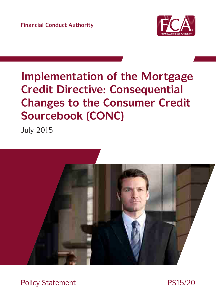**Financial Conduct Authority**



# **Implementation of the Mortgage Credit Directive: Consequential Changes to the Consumer Credit Sourcebook (CONC)**

July 2015



Policy Statement PS15/20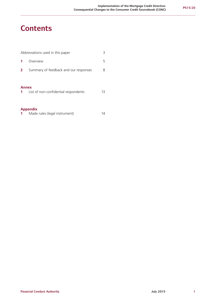### **Contents**

| Abbreviations used in this paper<br>3 |                                       |    |  |  |
|---------------------------------------|---------------------------------------|----|--|--|
|                                       | Overview                              | 5  |  |  |
| 2                                     | Summary of feedback and our responses | 8  |  |  |
| <b>Annex</b><br>$1 \quad$             | List of non-confidential respondents  | 13 |  |  |
| <b>Appendix</b>                       |                                       |    |  |  |

| Made rules (legal instrument) | 14 |
|-------------------------------|----|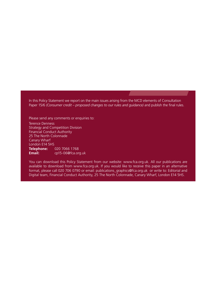In this Policy Statement we report on the main issues arising from the MCD elements of Consultation Paper 15/6 *(Consumer credit – proposed changes to our rules and guidance)* and publish the final rules.

Please send any comments or enquiries to: Terence Denness Strategy and Competition Division Financial Conduct Authority 25 The North Colonnade Canary Wharf London E14 5HS **Telephone:** 020 7066 1768<br>**Email:** cp15-06@fca.or **Email:** [cp15-06@fca.org.uk](mailto:cp15-06@fca.org.uk)

You can download this Policy Statement from our website: www.fca.org.uk. All our publications are available to download from www.fca.org.uk. If you would like to receive this paper in an alternative format, please call 020 706 0790 or email: publications\_graphics@fca.org.uk or write to: Editorial and Digital team, Financial Conduct Authority, 25 The North Colonnade, Canary Wharf, London E14 5HS.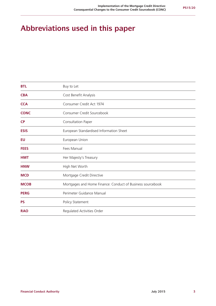### **Abbreviations used in this paper**

| <b>BTL</b>  | Buy to Let                                                 |
|-------------|------------------------------------------------------------|
| <b>CBA</b>  | Cost Benefit Analysis                                      |
| <b>CCA</b>  | Consumer Credit Act 1974                                   |
| <b>CONC</b> | Consumer Credit Sourcebook                                 |
| <b>CP</b>   | Consultation Paper                                         |
| <b>ESIS</b> | European Standardised Information Sheet                    |
| EU          | European Union                                             |
| <b>FEES</b> | Fees Manual                                                |
| <b>HMT</b>  | Her Majesty's Treasury                                     |
| <b>HNW</b>  | High Net Worth                                             |
| <b>MCD</b>  | Mortgage Credit Directive                                  |
| <b>MCOB</b> | Mortgages and Home Finance: Conduct of Business sourcebook |
| <b>PERG</b> | Perimeter Guidance Manual                                  |
| <b>PS</b>   | Policy Statement                                           |
| <b>RAO</b>  | Regulated Activities Order                                 |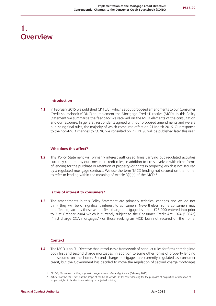### **1. Overview**

#### **Introduction**

**1.1** In February 2015 we published CP 15/6<sup>1</sup>, which set out proposed amendments to our Consumer Credit sourcebook (CONC) to implement the Mortgage Credit Directive (MCD). In this Policy Statement we summarise the feedback we received on the MCD elements of the consultation and our response. In general, respondents agreed with our proposed amendments and we are publishing final rules, the majority of which come into effect on 21 March 2016. Our response to the non-MCD changes to CONC we consulted on in CP15/6 will be published later this year.

#### **Who does this affect?**

**1.2** This Policy Statement will primarily interest authorised firms carrying out regulated activities currently captured by our consumer credit rules, in addition to firms involved with niche forms of lending for the purchase or retention of property (or rights in property) which is not secured by a regulated mortgage contract. We use the term 'MCD lending not secured on the home' to refer to lending within the meaning of Article  $3(1)(b)$  of the MCD.<sup>2</sup>

#### **Is this of interest to consumers?**

**1.3** The amendments in this Policy Statement are primarily technical changes and we do not think they will be of significant interest to consumers. Nevertheless, some consumers may be affected, such as those with a first charge mortgage less than £25,000 entered into prior to 31st October 2004 which is currently subject to the Consumer Credit Act 1974 ("CCA") ("first charge CCA mortgages") or those seeking an MCD loan not secured on the home.

#### **Context**

**1.4** The MCD is an EU Directive that introduces a framework of conduct rules for firms entering into both first and second charge mortgages, in addition to some other forms of property lending not secured on the home. Second charge mortgages are currently regulated as consumer credit, but the Government has decided to move the regulation of second charge mortgages

<sup>1</sup> CP15/6, *[Consumer credit – proposed changes to our rules and guidance](http://www.fca.org.uk/news/cp15-06-consumer-credit-consultation-paper)* (February 2015)

<sup>2</sup> Article 3 of the MCD sets out the scope of the MCD; Article 3(1)(b) covers lending for the purposes of acquisition or retention of property rights in land or in an existing or projected building.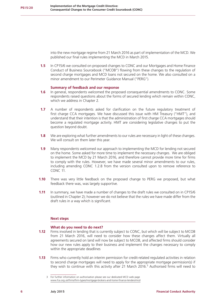into the new mortgage regime from 21 March 2016 as part of implementation of the MCD. We published our final rules implementing the MCD in March 2015.

**1.5** In CP15/6 we consulted on proposed changes to CONC and our Mortgages and Home Finance Conduct of Business Sourcebook ("MCOB") flowing from these changes to the regulation of second charge mortgages and MCD loans not secured on the home. We also consulted on a minor amendment to our Perimeter Guidance Manual ("PERG").

#### **Summary of feedback and our response**

- **1.6** In general, respondents welcomed the proposed consequential amendments to CONC. Some respondents raised questions about the forms of secured lending which remain within CONC, which we address in Chapter 2.
- **1.7** A number of respondents asked for clarification on the future regulatory treatment of first charge CCA mortgages. We have discussed this issue with HM Treasury ("HMT"), and understand that their intention is that the administration of first charge CCA mortgages should become a regulated mortgage activity. HMT are considering legislative changes to put the question beyond doubt.
- **1.8** We are exploring what further amendments to our rules are necessary in light of these changes. We will consult on them later this year.
- **1.9** Many respondents welcomed our approach to implementing the MCD for lending not secured on the home. Some asked for more time to implement the necessary changes. We are obliged to implement the MCD by 21 March 2016, and therefore cannot provide more time for firms to comply with the rules. However, we have made several minor amendments to our rules, including amending CONC 1.2.8 from the version consulted upon to remove reference to CONC 11.
- **1.10** There was very little feedback on the proposed change to PERG we proposed, but what feedback there was, was largely supportive.
- **1.11** In summary, we have made a number of changes to the draft rules we consulted on in CP15/6 (outlined in Chapter 2); however we do not believe that the rules we have made differ from the draft rules in a way which is significant.

#### **Next steps**

#### **What do you need to do next?**

- **1.12** Firms involved in lending that is currently subject to CONC, but which will be subject to MCOB from 21 March 2016, will need to consider how these changes affect them. Virtually all agreements secured on land will now be subject to MCOB, and affected firms should consider how our new rules apply to their business and implement the changes necessary to comply within the appropriate deadlines
- **1.13** Firms who currently hold an interim permission for credit-related regulated activities in relation to second charge mortgages will need to apply for the appropriate mortgage permission(s) if they wish to continue with this activity after 21 March 2016.<sup>3</sup> Authorised firms will need to

<sup>3</sup> For further information on authorisation please see our dedicated MCD web page www.fca.org.uk/firms/firm-types/mortgage-brokers-and-home-finance-lenders/mcd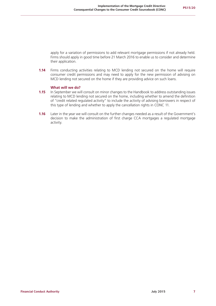apply for a variation of permissions to add relevant mortgage permissions if not already held. Firms should apply in good time before 21 March 2016 to enable us to consider and determine their application.

**1.14** Firms conducting activities relating to MCD lending not secured on the home will require consumer credit permissions and may need to apply for the new permission of advising on MCD lending not secured on the home if they are providing advice on such loans.

#### **What will we do?**

- **1.15** In September we will consult on minor changes to the Handbook to address outstanding issues relating to MCD lending not secured on the home, including whether to amend the definition of "credit related regulated activity" to include the activity of advising borrowers in respect of this type of lending and whether to apply the cancellation rights in CONC 11.
- **1.16** Later in the year we will consult on the further changes needed as a result of the Government's decision to make the administration of first charge CCA mortgages a regulated mortgage activity.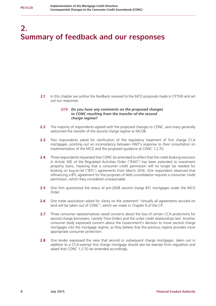# **2. Summary of feedback and our responses**

**2.1** In this chapter we outline the feedback received to the MCD proposals made in CP15/6 and set out our responses.

#### *Q19: Do you have any comments on the proposed changes to CONC resulting from the transfer of the second charge regime?*

- **2.2** The majority of respondents agreed with the proposed changes to CONC, and many generally welcomed the transfer of the second charge regime to MCOB.
- **2.3** Two respondents asked for clarification of the regulatory treatment of first charge CCA mortgages, pointing out an inconsistency between HMT's response to their consultation on implementation of the MCD and the proposed guidance at CONC 1.2.7G.
- **2.4** Three respondents requested that CONC be amended to reflect that the credit broking exclusion in Article 36E of the Regulated Activities Order ("RAO") has been extended to investment property loans, meaning that a consumer credit permission will no longer be needed for broking on buy-to-let ("BTL") agreements from March 2016. One respondent observed that refinancing a BTL agreement for the purposes of debt consolidation requires a consumer credit permission, which they considered unreasonable.
- **2.5** One firm questioned the status of pre-2008 second charge BTL mortgages under the MCD Order.
- **2.6** One trade association asked for clarity on the statement "virtually all agreements secured on land will be taken out of CONC", which we made in Chapter 6 of the CP.
- **2.7** Three consumer representatives raised concerns about the loss of certain CCA protections for second charge borrowers, namely Time Orders and the unfair credit relationships test. Another consumer body expressed concern about the Government's decision to move second charge mortgages into the mortgage regime, as they believe that the previous regime provides more appropriate consumer protection.
- **2.8** One lender expressed the view that second or subsequent charge mortgages, taken out in addition to a CCA-exempt first charge mortgage should also be exempt from regulation and asked that CONC 1.2.7G be amended accordingly.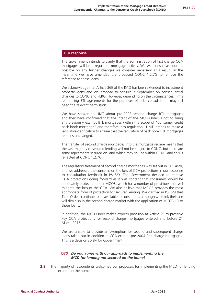#### **Our response**

The Government intends to clarify that the administration of first charge CCA mortgages will be a regulated mortgage activity. We will consult as soon as possible on any further changes we consider necessary as a result. In the meantime we have amended the proposed CONC 1.2.7G to remove the reference to these loans.

We acknowledge that Article 36E of the RAO has been extended to investment property loans and we propose to consult in September on consequential changes to CONC and PERG. However, depending on the circumstances, firms refinancing BTL agreements for the purposes of debt consolidation may still need the relevant permission.

We have spoken to HMT about pre-2008 second charge BTL mortgages and they have confirmed that the intent of the MCD Order is not to bring any previously exempt BTL mortgages within the scope of "consumer credit back book mortgage" and therefore into regulation. HMT intends to make a legislative clarification to ensure that the regulation of back book BTL mortgages remains unchanged.

The transfer of second charge mortgages into the mortgage regime means that the vast majority of secured lending will not be subject to CONC, but there are some agreements secured on land which may still be within CONC and this is reflected at CONC 1.2.7G.

The regulatory treatment of second charge mortgages was set out in CP 14/20, and we addressed the concerns on the loss of CCA protections in our response to consultation feedback in PS15/9. The Government decided to remove CCA protections going forward as it was content that consumers would be adequately protected under MCOB, which has a number of provisions that will mitigate the loss of the CCA. We also believe that MCOB provides the most appropriate form of protection for secured lending. We clarified in PS15/9 that Time Orders continue to be available to consumers, although we think their use will diminish in the second charge market with the application of MCOB 13 to these loans.

In addition, the MCD Order makes express provision at Article 29 to preserve key CCA protections for second charge mortgages entered into before 21 March 2016.

We are unable to provide an exemption for second and subsequent charge loans taken out in addition to CCA-exempt pre-2004 first charge mortgages. This is a decision solely for Government.

#### *Q20: Do you agree with our approach to implementing the MCD for lending not secured on the home?*

**2.9** The majority of respondents welcomed our proposals for implementing the MCD for lending not secured on the home.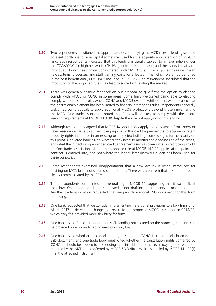- **2.10** Two respondents questioned the appropriateness of applying the MCD rules to lending secured on asset portfolios to raise capital sometimes used for the acquisition or retention of rights in land. Both respondents indicated that this lending is usually subject to an exemption under the CCA/CONC for high net worth ("HNW") individuals at present, and their view is that such individuals do not need protections offered under MCD rules. The proposed rules will mean new systems, processes, and staff training costs for affected firms, which were not identified in the cost benefit analysis ("CBA") included in CP 15/6. One respondent speculated that the imposition of the proposed rules may lead to some firms exiting the market.
- **2.11** There was generally positive feedback on our proposal to give firms the option to elect to comply with MCOB or CONC in some areas. Some firms welcomed being able to elect to comply with one set of rules where CONC and MCOB overlap, whilst others were pleased that the discretionary element has been limited to financial promotions rules. Respondents generally welcomed our proposals to apply additional MCOB protections beyond those implementing the MCD. One trade association noted that firms will be likely to comply with the record keeping requirements at MCOB 13.3.9R despite the rule not applying to this lending.
- **2.12** Although respondents agreed that MCOB 14 should only apply to loans where firms know or have reasonable cause to suspect the purpose of the credit agreement is to acquire or retain property rights in land or in an existing or projected building, some sought further clarity on this point. One large bank asked whether they need to monitor the ongoing use of the credit, and what the impact on open ended credit agreements such as overdrafts or credit cards might be. One trade association asked if the proposed rule at MCOB 14.1.2R applies at the point the contract is entered into, and not where the lender later discovers a loan has been used for these purposes.
- **2.13** Some respondents expressed disappointment that a new activity is being introduced for advising on MCD loans not secured on the home. There was a concern that this had not been clearly communicated by the FCA.
- **2.14** Three respondents commented on the drafting of MCOB 14, suggesting that it was difficult to follow. One trade association suggested minor drafting amendments to make it clearer. Another trade association requested that we provide a model ESIS document for this form of lending.
- **2.15** One bank requested that we consider implementing transitional provisions to allow firms until March 2017 to deliver the changes, or revert to the proposed MCOB 14 set out in CP14/20, which they felt provided more flexibility for firms.
- **2.16** One bank asked for confirmation that MCD lending not secured on the home agreements can be provided on a non-advised or execution only basis.
- **2.17** One bank asked whether the cancellation rights set out in CONC 11 could be disclosed via the ESIS document, and one trade body questioned whether the cancellation rights conferred by CONC 11 should be applied to this lending at all in addition to the seven day right of reflection required by the MCD and conferred by MCOB 6A.3.4R(1) (which is applied by MCOB 14.1.3R(1) (i) in the attached instrument).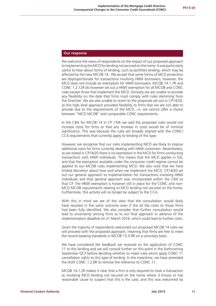#### **Our response**

We welcome the views of respondents on the impact of our proposed approach to implementing the MCD for lending not secured on the home. It was particularly useful to hear about forms of lending, such as portfolio lending, which may be affected by the new MCOB 14. We accept that some forms of MCD protection are disproportionate for transactions involving HNW borrowers; however, the MCD does not include an exemption for HNW borrowers. MCOB 14.1.7R and CONC 1.2.12R do however set out a HNW exemption for all MCOB and CONC rules except those that implement the MCD. Similarly we are unable to provide any flexibility on the date that firms must comply with rules stemming from the Directive. We are also unable to revert to the proposals set out in CP14/20, as this high level approach provided flexibility to firms that we are not able to provide due to the requirements of the MCD, i.e. we cannot offer a choice between "MCD MCOB" and comparable CONC requirements.

In the CBA for MCOB 14 in CP 15/6 we said the proposed rules would not increase costs for firms or that any increase in costs would be of minimal significance. This was because the rules are broadly aligned with the CONC/ CCA requirements that currently apply to lending of this type.

However, we recognise that our rules implementing MCD are likely to impose additional costs for firms currently dealing with HNW customers. Nevertheless, as we stated in CP14/20 there is no exemption in the MCD for firms conducting transactions with HNW individuals. This means that the MCD applies in full, and that the exemption available under the consumer credit regime cannot be applied to our MCOB rules implementing MCD. We also note that we have limited discretion about how and when we implement the MCD. CP14/20 set out our general approach to implementation for transactions involving HNW individuals and that general approach was incorporated within the CBA to that CP. The HNW exemption is however still in place for the CONC and non-MCD MCOB requirements relating to MCD lending not secured on the home. Furthermore, this activity will no longer be subject to the CCA.

With this in mind we are of the view that the consultation would likely have resulted in the same outcome even if the all the costs to those firms had been fully identified. We also consider that further consultation would lead to uncertainty among firms as to our final approach in advance of the implementation deadline on 21 March 2016, which could lead to further costs.

Given the majority of respondents welcomed our proposed MCOB 14 rules we will proceed with the proposed approach, meaning that firms are free to meet the record keeping standards in MCOB 13.3.9R on a voluntary basis.

We have considered the feedback we received on the application of CONC 11 to this lending and we will consult further on this point in the forthcoming September QCP before deciding whether to make rules which apply CONC 11 cancellation rights to this type of lending. In the meantime, we have amended the draft CONC 1.2.8R to remove the reference to CONC 11.

MCOB 14.1.2R makes it clear that a firm is only required to treat a transaction as involving MCD lending not secured on the home where it knows or has reasonable cause to suspect that this is the case, and this was welcomed by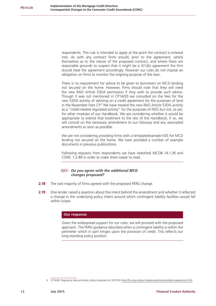respondents. This rule is intended to apply at the point the contract is entered into. As with any contract firms should, prior to the agreement, satisfy themselves as to the nature of the proposed contract, and where there are reasonable grounds to suspect that it might be a 3(1)(b) agreement the firm should treat the agreement accordingly. However our rules do not impose an obligation on firms to monitor the ongoing purpose of the loan.

There is no requirement for advice to be given to borrowers on MCD lending not secured on the home. However, firms should note that they will need the new RAO Article 53DA permission if they wish to provide such advice. Though it was not mentioned in CP14/20 we consulted on the fees for the new 53DA activity of advising on a credit agreement for the purposes of land in the November Fees CP.<sup>4</sup> We have treated the new RAO Article 53DA activity as a "credit-related regulated activity" for the purposes of FEES but not, as yet, for other modules of our Handbook. We are considering whether it would be appropriate to extend that treatment to the rest of the Handbook; if so, we will consult on the necessary amendment to our Glossary and any associated amendments as soon as possible.

We are not considering providing firms with a template/example ESIS for MCD lending not secured on the home. We have provided a number of example documents in previous publications.

Following requests from respondents we have redrafted MCOB 14.1.3R and CONC 1.2.8R in order to make them easier to read.

#### *Q21: Do you agree with the additional MCD changes proposed?*

- **2.18** The vast majority of firms agreed with the proposed PERG change.
- **2.19** One lender raised a question about the intent behind the amendment and whether it reflected a change in the underlying policy intent around which contingent liability facilities would fall within scope.

#### **Our response**

Given the widespread support for our rules, we will proceed with the proposed approach. The PERG guidance describes when a contingent liability is within the perimeter which in part hinges upon the provision of credit. This reflects our long-standing policy position.

<sup>4</sup> CP14/26: Regulatory fees and levies: policy proposals for 2015/16 (http://fca.org.uk/your-fca/documents/consultation-papers/cp14-26)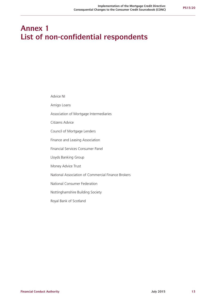### **Annex 1 List of non-confidential respondents**

Advice NI

Amigo Loans

Association of Mortgage Intermediaries

Citizens Advice

Council of Mortgage Lenders

Finance and Leasing Association

Financial Services Consumer Panel

Lloyds Banking Group

Money Advice Trust

National Association of Commercial Finance Brokers

National Consumer Federation

Nottinghamshire Building Society

Royal Bank of Scotland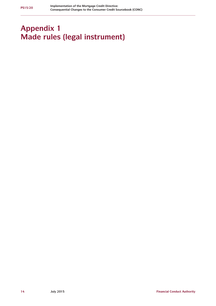## **Appendix 1 Made rules (legal instrument)**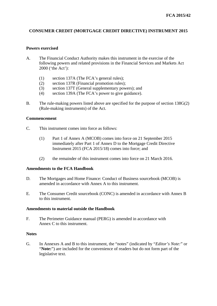#### **CONSUMER CREDIT (MORTGAGE CREDIT DIRECTIVE) INSTRUMENT 2015**

#### **Powers exercised**

- A. The Financial Conduct Authority makes this instrument in the exercise of the following powers and related provisions in the Financial Services and Markets Act 2000 ('the Act'):
	- (1) section 137A (The FCA's general rules);
	- (2) section 137R (Financial promotion rules);
	- (3) section 137T (General supplementary powers); and
	- (4) section 139A (The FCA's power to give guidance).
- B. The rule-making powers listed above are specified for the purpose of section 138G(2) (Rule-making instruments) of the Act.

#### **Commencement**

- C. This instrument comes into force as follows:
	- (1) Part 1 of Annex A (MCOB) comes into force on 21 September 2015 immediately after Part 1 of Annex D to the Mortgage Credit Directive Instrument 2015 (FCA 2015/18) comes into force; and
	- (2) the remainder of this instrument comes into force on 21 March 2016.

#### **Amendments to the FCA Handbook**

- D. The Mortgages and Home Finance: Conduct of Business sourcebook (MCOB) is amended in accordance with Annex A to this instrument.
- E. The Consumer Credit sourcebook (CONC) is amended in accordance with Annex B to this instrument.

#### **Amendments to material outside the Handbook**

F. The Perimeter Guidance manual (PERG) is amended in accordance with Annex C to this instrument.

#### **Notes**

G. In Annexes A and B to this instrument, the "notes" (indicated by "*Editor's Note:*" or "**Note:**") are included for the convenience of readers but do not form part of the legislative text.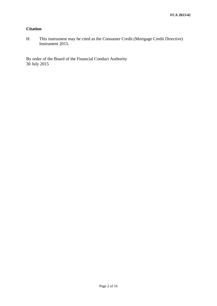#### **Citation**

H. This instrument may be cited as the Consumer Credit (Mortgage Credit Directive) Instrument 2015.

By order of the Board of the Financial Conduct Authority 30 July 2015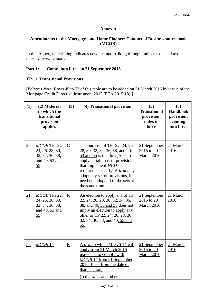#### **Annex A**

#### **Amendments to the Mortgages and Home Finance: Conduct of Business sourcebook (MCOB)**

In this Annex, underlining indicates new text and striking through indicates deleted text unless otherwise stated.

#### **Part 1: Comes into force on 21 September 2015**

#### **TP1.1 Transitional Provisions**

[*Editor's Note:* Rows 45 to 52 of this table are to be added on 21 March 2016 by virtue of the Mortgage Credit Directive Instrument 2015 (FCA 2015/18).]

| (1)      | (2) Material<br>to which the<br>transitional<br>provision<br>applies                   | (3)                      | (4) Transitional provision                                                                                                                                                                                                                                                                                                             | (5)<br><b>Transitional</b><br>provision:<br>dates in<br>force | (6)<br><b>Handbook</b><br>provision:<br>coming<br>into force |
|----------|----------------------------------------------------------------------------------------|--------------------------|----------------------------------------------------------------------------------------------------------------------------------------------------------------------------------------------------------------------------------------------------------------------------------------------------------------------------------------|---------------------------------------------------------------|--------------------------------------------------------------|
| $\cdots$ |                                                                                        |                          |                                                                                                                                                                                                                                                                                                                                        |                                                               |                                                              |
| 20       | MCOB TPs 22,<br>24, 26, 28, 30,<br>32, 34, 36, 38,<br>and $40, 53$ and<br>55           | G                        | The purpose of TPs $22$ , $24$ , $26$ ,<br>28, 30, 32, 34, 36, 38, and 40,<br>$\frac{53 \text{ and } 55}{51}$ is to allow <i>firms</i> to<br>apply certain sets of provisions<br>that implement MCD<br>requirements early. A <i>firm</i> may<br>adopt any set of provisions, it<br>need not adopt all of the sets at<br>the same time. | 21 September<br>2015 to 20<br>March 2016                      | 21 March<br>2016                                             |
| 21       | MCOB TPs 22,<br>24, 26, 28, 30,<br>32, 34, 36, 38,<br>and 40, 53 and<br>$\frac{55}{5}$ | $\mathbf R$              | An election to apply any of TP<br>22, 24, 26, 28, 30, 32, 34, 36,<br>38, and 40, 53 and 55 does not<br>imply an election to apply any<br>other of TP 22, 24, 26, 28, 30,<br>32, 34, 36, 38, and 40, 53 and<br><u>55</u> .                                                                                                              | 21 September<br>2015 to 20<br>March 2016                      | 21 March<br>2016                                             |
| $\cdots$ |                                                                                        |                          |                                                                                                                                                                                                                                                                                                                                        |                                                               |                                                              |
| 53       | $MCOB$ 14                                                                              | $\underline{\mathbf{R}}$ | A firm to which MCOB 14 will<br>apply from 21 March 2016<br>may elect to comply with<br>MCOB 14 from 21 September<br>2015. If so, from the date of<br>that election:<br>(i) the <i>rules</i> and other                                                                                                                                 | 21 September<br>2015 to 20<br>March 2016                      | 21 March<br>2016                                             |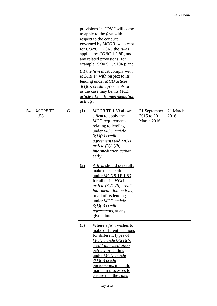|                  |                 |                 | <i>activity.</i> | provisions in CONC will cease<br>to apply to the <i>firm</i> with<br>respect to the conduct<br>governed by MCOB 14, except<br>for CONC 1.2.8R, the rules<br>applied by CONC 1.2.8R, and<br>any related provisions (for<br>example, $CONC 1.2.10R$ ; and<br>(ii) the <i>firm</i> must comply with<br>MCOB 14 with respect to its<br>lending under MCD article<br>$3(1)(b)$ credit agreements or,<br>as the case may be, its MCD<br>$article (3)(1)(b) intermediate$ intermediation |                                          |                  |
|------------------|-----------------|-----------------|------------------|-----------------------------------------------------------------------------------------------------------------------------------------------------------------------------------------------------------------------------------------------------------------------------------------------------------------------------------------------------------------------------------------------------------------------------------------------------------------------------------|------------------------------------------|------------------|
| $\underline{54}$ | MCOB TP<br>1.53 | $\underline{G}$ | (1)              | MCOB TP 1.53 allows<br>a firm to apply the<br><b>MCD</b> requirements<br>relating to lending<br>under MCD article<br>$3(1)(b)$ credit<br>agreements and MCD<br>article (3)(1)(b)<br><i>intermediation activity</i><br>early.                                                                                                                                                                                                                                                      | 21 September<br>2015 to 20<br>March 2016 | 21 March<br>2016 |
|                  |                 |                 | (2)              | A firm should generally<br>make one election<br>under MCOB TP 1.53<br>for all of its MCD<br>article (3)(1)(b) credit<br><i>intermediation activity,</i><br>or all of its lending<br>under MCD article<br>$3(1)(b)$ credit<br><i>agreements</i> , at any<br>given time.                                                                                                                                                                                                            |                                          |                  |
|                  |                 |                 | (3)              | Where a <i>firm</i> wishes to<br>make different elections<br>for different types of<br>$MCD$ article $(3)(1)(b)$<br>credit intermediation<br><i>activity</i> or lending<br>under MCD article<br>$3(1)(b)$ credit<br><i>agreements</i> , it should<br>maintain processes to<br>ensure that the <i>rules</i>                                                                                                                                                                        |                                          |                  |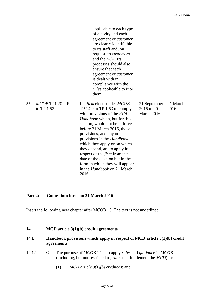|    |                             |   | applicable to each type<br>of activity and each<br>agreement or customer<br>are clearly identifiable<br>to its staff and, on<br>request, to <i>customers</i><br>and the <i>FCA</i> . Its<br>processes should also<br>ensure that each<br>agreement or <i>customer</i><br>is dealt with in<br>compliance with the<br><i>rules</i> applicable to it or<br>them.                                                                                                                                      |                                          |                  |
|----|-----------------------------|---|----------------------------------------------------------------------------------------------------------------------------------------------------------------------------------------------------------------------------------------------------------------------------------------------------------------------------------------------------------------------------------------------------------------------------------------------------------------------------------------------------|------------------------------------------|------------------|
| 55 | MCOB TP1.20<br>to $TP$ 1.53 | R | If a <i>firm</i> elects under <i>MCOB</i><br>$TP 1.20$ to $TP 1.53$ to comply<br>with provisions of the FCA<br>Handbook which, but for this<br>section, would not be in force<br>before 21 March 2016, those<br>provisions, and any other<br>provisions in the Handbook<br>which they apply or on which<br>they depend, are to apply in<br>respect of the <i>firm</i> from the<br>date of the election but in the<br>form in which they will appear<br>in the <i>Handbook</i> on 21 March<br>2016. | 21 September<br>2015 to 20<br>March 2016 | 21 March<br>2016 |

#### **Part 2: Comes into force on 21 March 2016**

Insert the following new chapter after MCOB 13. The text is not underlined.

### **14 MCD article 3(1)(b) credit agreements**

### **14.1 Handbook provisions which apply in respect of MCD article 3(1)(b) credit agreements**

- 14.1.1 G The purpose of *MCOB* 14 is to apply *rules* and *guidance* in *MCOB* (including, but not restricted to, *rules* that implement the *MCD*) to:
	- (1) *MCD article 3(1)(b) creditors*; and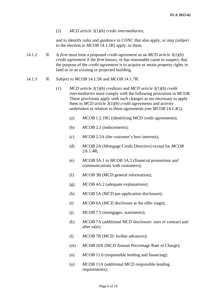(2) *MCD article 3(1)(b) credit intermediaries*;

and to identify *rules* and *guidance* in *CONC* that also apply, or may (subject to the election in *MCOB* 14.1.5R) apply, to them.

- 14.1.2 R A *firm* must treat a proposed *credit agreement* as an *MCD article 3(1)(b) credit agreement* if the *firm* knows, or has reasonable cause to suspect, that the purpose of the *credit agreement* is to acquire or retain property rights in land or in an existing or projected building.
- 14.1.3 R Subject to *MCOB* 14.1.5R and *MCOB* 14.1.7R:
	- (1) *MCD article 3(1)(b) creditors* and *MCD article 3(1)(b) credit intermediaries* must comply with the following provisions in *MCOB*. These provisions apply with such changes as are necessary to apply them to *MCD article 3(1)(b) credit agreements* and activity undertaken in relation to those agreements (see *MCOB* 14.1.4G):
		- (a) *MCOB* 1.2.19G (identifying MCD credit agreements);
		- (b) *MCOB* 2.3 (inducements);
		- (c) *MCOB* 2.5A (the customer's best interests);
		- (d) *MCOB* 2A (Mortgage Credit Directive) except for *MCOB*  2A.1.4R;
		- (e) *MCOB* 3A.1 to *MCOB* 3A.5 (financial promotions and communications with customers);
		- (f) *MCOB* 3B (MCD general information);
		- (g) *MCOB* 4A.2 (adequate explanations);
		- (h) *MCOB* 5A (MCD pre-application disclosure);
		- (i) *MCOB* 6A (MCD disclosure at the offer stage);
		- (j) *MCOB* 7.5 (mortgages: statements);
		- (k) *MCOB* 7A (additional MCD disclosure: start of contract and after sale);
		- (l) *MCOB* 7B (MCD: further advances);
		- (m) *MCOB* 10A (MCD Annual Percentage Rate of Charge);
		- (n) *MCOB* 11.6 (responsible lending and financing);
		- (o) *MCOB* 11A (additional MCD responsible lending requirements);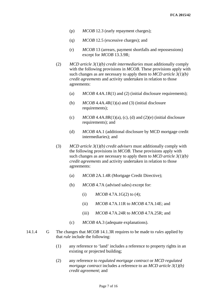- (p) *MCOB* 12.3 (early repayment charges);
- (q) *MCOB* 12.5 (excessive charges); and
- (r) *MCOB* 13 (arrears, payment shortfalls and repossessions) except for *MCOB* 13.3.9R;
- (2) *MCD article 3(1)(b) credit intermediaries* must additionally comply with the following provisions in *MCOB*. These provisions apply with such changes as are necessary to apply them to *MCD article 3(1)(b) credit agreements* and activity undertaken in relation to those agreements:
	- (a) *MCOB* 4.4A.1R(1) and (2) (initial disclosure requirements);
	- (b)  $MCOB\,4.4A.4R(1)(a)$  and (3) (initial disclosure requirements);
	- (c)  $MCOB\,4.4A.8R(1)(a)$ , (c), (d) and (2)(e) (initial disclosure requirements); and
	- (d) *MCOB* 4A.1 (additional disclosure by MCD mortgage credit intermediaries); and
- (3) *MCD article 3(1)(b) credit advisers* must additionally comply with the following provisions in *MCOB*. These provisions apply with such changes as are necessary to apply them to *MCD article 3(1)(b) credit agreements* and activity undertaken in relation to those agreements:
	- (a) *MCOB* 2A.1.4R (Mortgage Credit Directive);
	- (b) *MCOB* 4.7A (advised sales) except for:
		- (i)  $MCOB\,4.7A.1G(2)$  to (4);
		- (ii) *MCOB* 4.7A.11R to *MCOB* 4.7A.14E; and
		- (iii) *MCOB* 4.7A.24R to *MCOB* 4.7A.25R; and
	- (c) *MCOB* 4A.3 (adequate explanations).
- 14.1.4 G The changes that *MCOB* 14.1.3R requires to be made to *rules* applied by that *rule* include the following:
	- (1) any reference to 'land' includes a reference to property rights in an existing or projected building;
	- (2) any reference to *regulated mortgage contract* or *MCD regulated mortgage contract* includes a reference to an *MCD article 3(1)(b) credit agreement*; and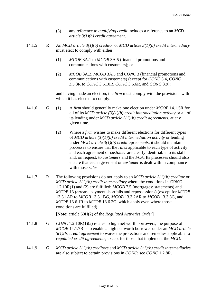- (3) any reference to *qualifying credit* includes a reference to an *MCD article 3(1)(b) credit agreement*.
- 14.1.5 R An *MCD article 3(1)(b) creditor* or *MCD article 3(1)(b) credit intermediary* must elect to comply with either:
	- (1) *MCOB* 3A.1 to *MCOB* 3A.5 (financial promotions and communications with customers); or
	- (2) *MCOB* 3A.2, *MCOB* 3A.5 and *CONC* 3 (financial promotions and communications with customers) (except for *CONC* 3.4, *CONC* 3.5.3R to *CONC* 3.5.10R, *CONC* 3.6.6R, and *CONC* 3.9);

and having made an election, the *firm* must comply with the provisions with which it has elected to comply.

- 14.1.6 G (1) A *firm* should generally make one election under *MCOB* 14.1.5R for all of its *MCD article (3)(1)(b) credit intermediation activity* or all of its lending under *MCD article 3(1)(b) credit agreements*, at any given time.
	- (2) Where a *firm* wishes to make different elections for different types of *MCD article (3)(1)(b) credit intermediation activity* or lending under *MCD article 3(1)(b) credit agreements*, it should maintain processes to ensure that the *rules* applicable to each type of activity and each agreement or *customer* are clearly identifiable to its staff and, on request, to *customers* and the *FCA*. Its processes should also ensure that each agreement or *customer* is dealt with in compliance with those *rules*.
- 14.1.7 R The following provisions do not apply to an *MCD article 3(1)(b) creditor* or *MCD article 3(1)(b) credit intermediary* where the conditions in *CONC* 1.2.10R(1) and (2) are fulfilled: *MCOB* 7.5 (mortgages: statements) and *MCOB* 13 (arrears, payment shortfalls and repossessions) (except for *MCOB* 13.3.1AR to *MCOB* 13.3.1BG, *MCOB* 13.3.2AR to *MCOB* 13.3.8G, and *MCOB* 13.6.1R to *MCOB* 13.6.2G, which apply even where those conditions are fulfilled).

[**Note**: article 60H(2) of the *Regulated Activities Order*]

- 14.1.8 G *CONC* 1.2.10R(1)(a) relates to high net worth borrowers; the purpose of *MCOB* 14.1.7R is to enable a high net worth borrower under an *MCD article 3(1)(b) credit agreement* to waive the protections and remedies applicable to *regulated credit agreements*, except for those that implement the *MCD*.
- 14.1.9 G *MCD article 3(1)(b) creditors* and *MCD article 3(1)(b) credit intermediaries* are also subject to certain provisions in *CONC*: see *CONC* 1.2.8R.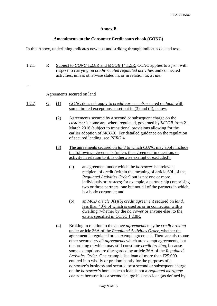#### **Annex B**

#### **Amendments to the Consumer Credit sourcebook (CONC)**

In this Annex, underlining indicates new text and striking through indicates deleted text.

1.2.1 R Subject to *CONC* 1.2.8R and *MCOB* 14.1.5R, *CONC* applies to a *firm* with respect to carrying on *credit-related regulated activities* and connected activities, unless otherwise stated in, or in relation to, a *rule*.

…

#### Agreements secured on land

- 1.2.7 G (1) *CONC* does not apply to *credit agreements* secured on *land*, with some limited exceptions as set out in (3) and (4), below.
	- (2) Agreements secured by a second or subsequent charge on the *customer's* home are, where regulated, governed by *MCOB* from 21 March 2016 (subject to transitional provisions allowing for the earlier adoption of *MCOB*). For detailed guidance on the regulation of secured lending, see *PERG* 4*.*
	- (3) The agreements secured on *land* to which *CONC* may apply include the following agreements (unless the agreement in question, or activity in relation to it, is otherwise exempt or excluded):
		- (a) an agreement under which the *borrower* is a relevant recipient of credit (within the meaning of article 60L of the *Regulated Activities Order*) but is not one or more individuals or trustees; for example, a partnership comprising two or three partners, one but not all of the partners in which is a body corporate; and
		- (b) an *MCD article 3(1)(b) credit agreement* secured on *land*, less than 40% of which is used as or in connection with a dwelling (whether by the *borrower* or anyone else) to the extent specified in *CONC* 1.2.8R.
	- (4) Broking in relation to the above *agreements* may be *credit broking* under article 36A of the *Regulated Activities Order*, whether the agreement is regulated or an exempt agreement. There are also some other secured *credit agreements* which are exempt agreements, but the broking of which may still constitute *credit broking,* because some exemptions are disregarded by article 36A of the *Regulated Activities Order*. One example is a loan of more than £25,000 entered into wholly or predominantly for the purposes of a *borrower's* business and secured by a second or subsequent charge on the *borrower's* home: such a loan is not a *regulated mortgage contract* because it is a second charge business loan (as defined by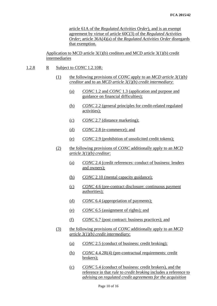article 61A of the *Regulated Activities Order*), and is an exempt agreement by virtue of article 60C(3) of the *Regulated Activities Order*; article 36A(4)(a) of the *Regulated Activities Order* disregards that exemption.

Application to MCD article 3(1)(b) creditors and MCD article 3(1)(b) credit intermediaries

- 1.2.8 R Subject to *CONC* 1.2.10R:
	- (1) the following provisions of *CONC* apply to an *MCD article 3(1)(b) creditor* and to an *MCD article 3(1)(b) credit intermediary*:
		- (a) *CONC* 1.2 and *CONC* 1.3 (application and purpose and guidance on financial difficulties);
		- (b) *CONC* 2.2 (general principles for credit-related regulated activities);
		- (c) *CONC* 2.7 (distance marketing);
		- (d) *CONC* 2.8 (e-commerce); and
		- (e) *CONC* 2.9 (prohibition of unsolicited credit tokens);
	- (2) the following provisions of *CONC* additionally apply to an *MCD article 3(1)(b) creditor*:
		- (a) *CONC* 2.4 (credit references: conduct of business: lenders and owners);
		- (b) *CONC* 2.10 (mental capacity guidance);
		- (c) *CONC* 4.6 (pre-contract disclosure: continuous payment authorities);
		- (d) *CONC* 6.4 (appropriation of payments);
		- (e) *CONC* 6.5 (assignment of rights); and
		- (f) *CONC* 6.7 (post contract: business practices); and
	- (3) the following provisions of *CONC* additionally apply to an *MCD article 3(1)(b) credit intermediary*:
		- (a) *CONC* 2.5 (conduct of business: credit broking);
		- (b) *CONC* 4.4.2R(4) (pre-contractual requirements: credit brokers);
		- (c) *CONC* 5.4 (conduct of business: credit brokers), and the reference in that *rule* to *credit broking* includes a reference to *advising on regulated credit agreements for the acquisition*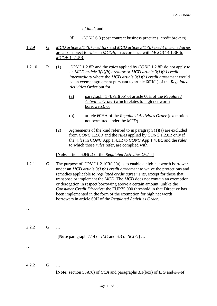*of land*; and

- (d) *CONC* 6.8 (post contract business practices: credit brokers).
- 1.2.9 G *MCD article 3(1)(b) creditors* and *MCD article 3(1)(b) credit intermediaries* are also subject to *rules* in *MCOB*, in accordance with *MCOB* 14.1.3R to *MCOB* 14.1.5R.
- 1.2.10 R (1) *CONC* 1.2.8R and the *rules* applied by *CONC* 1.2.8R do not apply to an *MCD article 3(1)(b) creditor* or *MCD article 3(1)(b) credit intermediary* where the *MCD article 3(1)(b) credit agreement* would be an exempt agreement pursuant to article 60H(1) of the *Regulated Activities Order* but for:
	- (a) paragraph (1)(b)(ii)(bb) of article 60H of the *Regulated Activities Order* (which relates to high net worth borrowers); or
	- (b) article 60HA of the *Regulated Activities Order* (exemptions not permitted under the *MCD*).
	- (2) Agreements of the kind referred to in paragraph  $(1)(a)$  are excluded from *CONC* 1.2.8R and the *rules* applied by *CONC* 1.2.8R only if the *rules* in *CONC* App 1.4.1R to *CONC* App 1.4.4R, and the *rules* to which those *rules* refer, are complied with.

[**Note**: article 60H(2) of the *Regulated Activities Order*]

1.2.11 G The purpose of *CONC* 1.2.10R(1)(a) is to enable a high net worth borrower under an *MCD article 3(1)(b) credit agreement* to waive the protections and remedies applicable to *regulated credit agreements*, except for those that transpose or implement the *MCD*. The *MCD* does not contain an exemption or derogation in respect borrowing above a certain amount, unlike the *Consumer Credit Directive*: the EUR75,000 threshold in that Directive has been implemented in the form of the exemption for high net worth borrowers in article 60H of the *Regulated Activities Order*.

2.2.2 G …

[**Note** paragraph 7.14 of *ILG* and 6.3 of *SCLG*] …

…

…

4.2.2 G …

[**Note:** section 55A(6) of *CCA* and paragraphs 3.1(box) of *ILG* and 3.5 of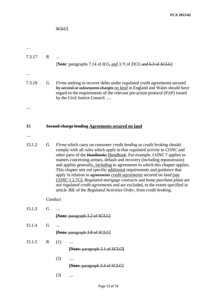|           |             | SCEG                                                                                                                                                                                                                                                                                                                                                                                                                                                                                                                                                                                                                                                                                                                                                                                                                              |
|-----------|-------------|-----------------------------------------------------------------------------------------------------------------------------------------------------------------------------------------------------------------------------------------------------------------------------------------------------------------------------------------------------------------------------------------------------------------------------------------------------------------------------------------------------------------------------------------------------------------------------------------------------------------------------------------------------------------------------------------------------------------------------------------------------------------------------------------------------------------------------------|
|           |             |                                                                                                                                                                                                                                                                                                                                                                                                                                                                                                                                                                                                                                                                                                                                                                                                                                   |
|           |             |                                                                                                                                                                                                                                                                                                                                                                                                                                                                                                                                                                                                                                                                                                                                                                                                                                   |
|           |             |                                                                                                                                                                                                                                                                                                                                                                                                                                                                                                                                                                                                                                                                                                                                                                                                                                   |
| 7.3.17    | $\mathbf R$ |                                                                                                                                                                                                                                                                                                                                                                                                                                                                                                                                                                                                                                                                                                                                                                                                                                   |
|           |             | [Note: paragraphs 7.14 of $ILG$ , and 3.7t of DCG and 6.3 of SCLG]                                                                                                                                                                                                                                                                                                                                                                                                                                                                                                                                                                                                                                                                                                                                                                |
|           |             |                                                                                                                                                                                                                                                                                                                                                                                                                                                                                                                                                                                                                                                                                                                                                                                                                                   |
| 7.3.19    | G           | Firms seeking to recover debts under regulated credit agreements secured<br>by second or subsequent charges on <i>land</i> in England and Wales should have<br>regard to the requirements of the relevant pre-action protocol (PAP) issued<br>by the Civil Justice Council                                                                                                                                                                                                                                                                                                                                                                                                                                                                                                                                                        |
| .         |             |                                                                                                                                                                                                                                                                                                                                                                                                                                                                                                                                                                                                                                                                                                                                                                                                                                   |
|           |             |                                                                                                                                                                                                                                                                                                                                                                                                                                                                                                                                                                                                                                                                                                                                                                                                                                   |
| 15        |             | <b>Second charge lending Agreements secured on land</b>                                                                                                                                                                                                                                                                                                                                                                                                                                                                                                                                                                                                                                                                                                                                                                           |
|           |             |                                                                                                                                                                                                                                                                                                                                                                                                                                                                                                                                                                                                                                                                                                                                                                                                                                   |
| $\ddotsc$ |             |                                                                                                                                                                                                                                                                                                                                                                                                                                                                                                                                                                                                                                                                                                                                                                                                                                   |
| 15.1.2    | G           | Firms which carry on <i>consumer</i> credit lending or <i>credit broking</i> should<br>comply with all <i>rules</i> which apply to that <i>regulated activity</i> in CONC and<br>other parts of the Handbooks <i>Handbook</i> . For example, <i>CONC</i> 7 applies to<br>matters concerning arrears, default and recovery (including repossession)<br>and applies generally, including to agreements to which this chapter applies.<br>This chapter sets out specific additional requirements and <i>guidance</i> that<br>apply in relation to agreements credit agreements secured on land (see<br>CONC 1.2.7G). Regulated mortgage contracts and home purchase plans are<br>not regulated credit agreements and are excluded, to the extent specified in<br>article 36E of the Regulated Activities Order, from credit broking. |
|           | Conduct     |                                                                                                                                                                                                                                                                                                                                                                                                                                                                                                                                                                                                                                                                                                                                                                                                                                   |
| 15.1.3    | G           | .                                                                                                                                                                                                                                                                                                                                                                                                                                                                                                                                                                                                                                                                                                                                                                                                                                 |
|           |             | [Note: paragraph 3.2 of SCLG]                                                                                                                                                                                                                                                                                                                                                                                                                                                                                                                                                                                                                                                                                                                                                                                                     |
| 15.1.4    | G           | .                                                                                                                                                                                                                                                                                                                                                                                                                                                                                                                                                                                                                                                                                                                                                                                                                                 |
|           |             | [Note: paragraph 3.8 of SCLG]                                                                                                                                                                                                                                                                                                                                                                                                                                                                                                                                                                                                                                                                                                                                                                                                     |
| 15.1.5    | R           | (1)<br>.                                                                                                                                                                                                                                                                                                                                                                                                                                                                                                                                                                                                                                                                                                                                                                                                                          |
|           |             | [Note: paragraph 2.1 of SCLG]                                                                                                                                                                                                                                                                                                                                                                                                                                                                                                                                                                                                                                                                                                                                                                                                     |
|           |             | (2)<br>.                                                                                                                                                                                                                                                                                                                                                                                                                                                                                                                                                                                                                                                                                                                                                                                                                          |
|           |             | [Note: paragraph 3.4 of SCLG]                                                                                                                                                                                                                                                                                                                                                                                                                                                                                                                                                                                                                                                                                                                                                                                                     |
|           |             | (3)<br>.                                                                                                                                                                                                                                                                                                                                                                                                                                                                                                                                                                                                                                                                                                                                                                                                                          |
|           |             |                                                                                                                                                                                                                                                                                                                                                                                                                                                                                                                                                                                                                                                                                                                                                                                                                                   |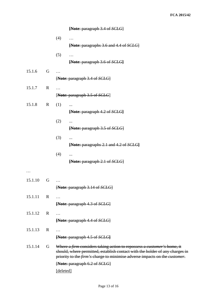|         |             | [Note: paragraph 3.4 of SCLG]                                                                                                                                                                                                         |
|---------|-------------|---------------------------------------------------------------------------------------------------------------------------------------------------------------------------------------------------------------------------------------|
|         |             | (4)<br>.                                                                                                                                                                                                                              |
|         |             | [Note: paragraphs 3.6 and 4.4 of SCLG]                                                                                                                                                                                                |
|         |             | (5)<br>$\ddots$                                                                                                                                                                                                                       |
|         |             | [Note: paragraph 3.6 of SCLG]                                                                                                                                                                                                         |
| 15.1.6  | G           |                                                                                                                                                                                                                                       |
|         |             | [Note: paragraph 3.4 of SCLG]                                                                                                                                                                                                         |
| 15.1.7  | $\mathbf R$ | .                                                                                                                                                                                                                                     |
|         |             | [Note: paragraph 3.5 of SCLG]                                                                                                                                                                                                         |
| 15.1.8  | $\mathbf R$ | (1)                                                                                                                                                                                                                                   |
|         |             | [Note: paragraph 4.2 of SCLG]                                                                                                                                                                                                         |
|         |             | (2)<br>                                                                                                                                                                                                                               |
|         |             | [Note: paragraph 3.5 of SCLG]                                                                                                                                                                                                         |
|         |             | (3)<br>$\cdots$                                                                                                                                                                                                                       |
|         |             | <b>[Note: paragraphs 2.1 and 4.2 of SCLG]</b>                                                                                                                                                                                         |
|         |             | (4)<br>                                                                                                                                                                                                                               |
|         |             | [Note: paragraph 2.1 of SCLG]                                                                                                                                                                                                         |
| .       |             |                                                                                                                                                                                                                                       |
| 15.1.10 | G           |                                                                                                                                                                                                                                       |
|         |             | [Note: paragraph 3.14 of SCLG]                                                                                                                                                                                                        |
| 15.1.11 | $\mathbf R$ | .                                                                                                                                                                                                                                     |
|         |             | [Note: paragraph 4.3 of SCLG]                                                                                                                                                                                                         |
| 15.1.12 | $\mathbf R$ |                                                                                                                                                                                                                                       |
|         |             | [Note: paragraph 4.4 of SCLG]                                                                                                                                                                                                         |
| 15.1.13 | $\mathbf R$ | .                                                                                                                                                                                                                                     |
|         |             | [Note: paragraph 4.5 of SCLG]                                                                                                                                                                                                         |
| 15.1.14 | G           | Where a firm considers taking action to repossess a customer's home, it<br>should, where permitted, establish contact with the holder of any charges in<br>priority to the firm's charge to minimise adverse impacts on the customer. |
|         |             | [Note: paragraph 6.2 of SCLG]                                                                                                                                                                                                         |
|         |             | [deleted]                                                                                                                                                                                                                             |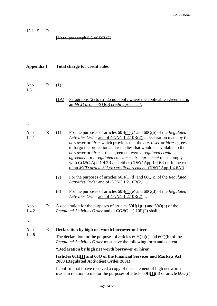15.1.15 R … **[Note:** paragraph 6.5 of *SCLG*]

…

| <b>Appendix 1</b>        |   | <b>Total charge for credit rules</b>                                                                                                                 |                                                                                                                                                                                                                                                                                                                                                                                                                                                                                                                                                                    |  |  |  |
|--------------------------|---|------------------------------------------------------------------------------------------------------------------------------------------------------|--------------------------------------------------------------------------------------------------------------------------------------------------------------------------------------------------------------------------------------------------------------------------------------------------------------------------------------------------------------------------------------------------------------------------------------------------------------------------------------------------------------------------------------------------------------------|--|--|--|
| App<br>1.3.1             | R | (1)                                                                                                                                                  | .                                                                                                                                                                                                                                                                                                                                                                                                                                                                                                                                                                  |  |  |  |
|                          |   | (1A)                                                                                                                                                 | Paragraphs $(2)$ to $(5)$ do not apply where the applicable agreement is<br>an MCD article $3(1)(b)$ credit agreement.                                                                                                                                                                                                                                                                                                                                                                                                                                             |  |  |  |
|                          |   |                                                                                                                                                      |                                                                                                                                                                                                                                                                                                                                                                                                                                                                                                                                                                    |  |  |  |
| $\cdots$<br>App<br>1.4.1 | R | (1)                                                                                                                                                  | For the purposes of articles $60H(1)(c)$ and $60Q(b)$ of the <i>Regulated</i><br>Activities Order and of CONC 1.2.10R(2), a declaration made by the<br>borrower or hirer which provides that the borrower or hirer agrees<br>to forgo the protection and remedies that would be available to the<br>borrower or hirer if the agreement were a regulated credit<br>agreement or a regulated consumer hire agreement must comply<br>with CONC App 1.4.2R and either CONC App 1.4.6R or, in the case<br>of an MCD article 3(1)(b) credit agreement, CONC App 1.4.6AR. |  |  |  |
|                          |   | (2)                                                                                                                                                  | For the purposes of articles $60H(1)(d)$ and $60Q(c)$ of the Regulated<br>Activities Order and of CONC 1.2.10R(2),                                                                                                                                                                                                                                                                                                                                                                                                                                                 |  |  |  |
|                          |   | (3)                                                                                                                                                  | For the purposes of articles $60H(1)(e)$ and $60Q(d)$ of the <i>Regulated</i><br>Activities Order and of CONC 1.2.10R(2),                                                                                                                                                                                                                                                                                                                                                                                                                                          |  |  |  |
| App<br>1.4.2<br>$\cdots$ | R |                                                                                                                                                      | A declaration for the purposes of articles $60H(1)(c)$ and $60Q(b)$ of the<br><i>Regulated Activities Order and of CONC 1.2.10R(2) shall </i>                                                                                                                                                                                                                                                                                                                                                                                                                      |  |  |  |
| App                      | R |                                                                                                                                                      | Declaration by high net worth borrower or hirer                                                                                                                                                                                                                                                                                                                                                                                                                                                                                                                    |  |  |  |
| 1.4.6                    |   | The declaration for the purposes of articles $60H(1)(c)$ and $60Q(b)$ of the<br>Regulated Activities Order must have the following form and content- |                                                                                                                                                                                                                                                                                                                                                                                                                                                                                                                                                                    |  |  |  |
|                          |   | "Declaration by high net worth borrower or hirer                                                                                                     |                                                                                                                                                                                                                                                                                                                                                                                                                                                                                                                                                                    |  |  |  |
|                          |   |                                                                                                                                                      | (articles 60H(1) and 60Q of the Financial Services and Markets Act<br>2000 (Regulated Activities) Order 2001)                                                                                                                                                                                                                                                                                                                                                                                                                                                      |  |  |  |
|                          |   |                                                                                                                                                      | I confirm that I have received a copy of the statement of high net worth<br>made in relation to me for the purposes of article $60H(1)(d)$ or article $60Q(c)$                                                                                                                                                                                                                                                                                                                                                                                                     |  |  |  |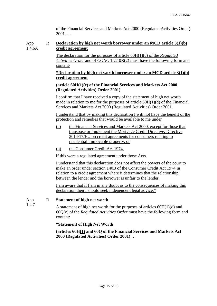of the Financial Services and Markets Act 2000 (Regulated Activities Order) 2001. …

#### App 1.4.6A R **Declaration by high net worth borrower under an MCD article 3(1)(b) credit agreement**

The declaration for the purposes of article 60H(1)(c) of the *Regulated Activities Order* and of *CONC* 1.2.10R(2) must have the following form and content-

#### **"Declaration by high net worth borrower under an MCD article 3(1)(b) credit agreement**

#### **(article 60H(1)(c) of the Financial Services and Markets Act 2000 (Regulated Activities) Order 2001)**

I confirm that I have received a copy of the statement of high net worth made in relation to me for the purposes of article  $60H(1)(d)$  of the Financial Services and Markets Act 2000 (Regulated Activities) Order 2001.

I understand that by making this declaration I will not have the benefit of the protection and remedies that would be available to me under

- (a) the Financial Services and Markets Act 2000, except for those that transpose or implement the Mortgage Credit Directive, Directive 2014/17/EU on credit agreements for consumers relating to residential immovable property, or
- (b) the Consumer Credit Act 1974,

if this were a regulated agreement under those Acts.

I understand that this declaration does not affect the powers of the court to make an order under section 140B of the Consumer Credit Act 1974 in relation to a credit agreement where it determines that the relationship between the lender and the borrower is unfair to the lender.

I am aware that if I am in any doubt as to the consequences of making this declaration then I should seek independent legal advice."

#### App R **Statement of high net worth**

1.4.7

A statement of high net worth for the purposes of articles 60H(1)(d) and 60Q(c) of the *Regulated Activities Order* must have the following form and content:

**"Statement of High Net Worth**

**(articles 60H(1) and 60Q of the Financial Services and Markets Act 2000 (Regulated Activities) Order 2001)** …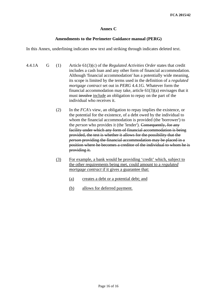#### **Annex C**

#### **Amendments to the Perimeter Guidance manual (PERG)**

In this Annex, underlining indicates new text and striking through indicates deleted text.

- 4.4.1A G (1) Article 61(3)(c) of the *Regulated Activities Order* states that credit includes a cash loan and any other form of financial accommodation. Although 'financial accommodation' has a potentially wide meaning, its scope is limited by the terms used in the definition of a *regulated mortgage contract* set out in *PERG* 4.4.1G. Whatever form the financial accommodation may take, article 61(3)(a) envisages that it must involve include an obligation to repay on the part of the individual who receives it.
	- (2) In the *FCA's* view, an obligation to repay implies the existence, or the potential for the existence, of a debt owed by the individual to whom the financial accommodation is provided (the 'borrower') to the *person* who provides it (the 'lender'). Consequently, for any facility under which any form of financial accommodation is being provided, the test is whether it allows for the possibility that the *person* providing the financial accommodation may be placed in a position where he becomes a creditor of the individual to whom he is providing it.
	- (3) For example, a bank would be providing 'credit' which, subject to the other requirements being met, could amount to a *regulated mortgage contract* if it gives a guarantee that:
		- (a) creates a debt or a potential debt; and
		- (b) allows for deferred payment.